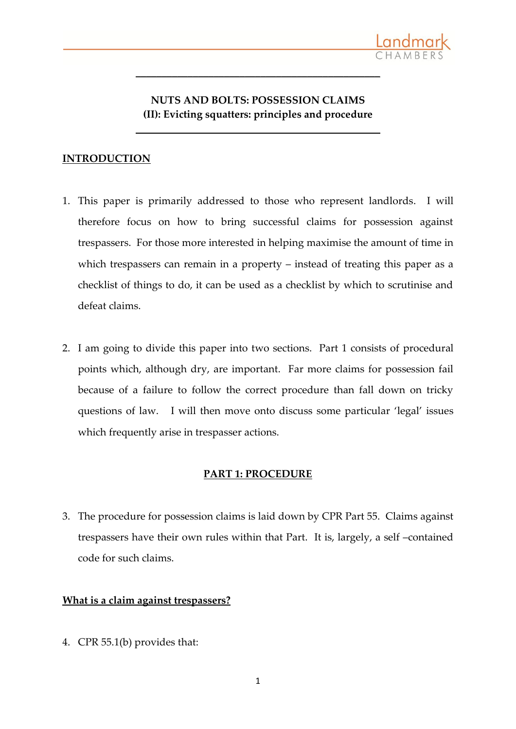

# **NUTS AND BOLTS: POSSESSION CLAIMS (II): Evicting squatters: principles and procedure**

**\_\_\_\_\_\_\_\_\_\_\_\_\_\_\_\_\_\_\_\_\_\_\_\_\_\_\_\_\_\_\_\_\_\_\_\_\_\_\_\_\_\_\_\_\_\_\_**

**\_\_\_\_\_\_\_\_\_\_\_\_\_\_\_\_\_\_\_\_\_\_\_\_\_\_\_\_\_\_\_\_\_\_\_\_\_\_\_\_\_\_\_\_\_\_\_**

## **INTRODUCTION**

- 1. This paper is primarily addressed to those who represent landlords. I will therefore focus on how to bring successful claims for possession against trespassers. For those more interested in helping maximise the amount of time in which trespassers can remain in a property – instead of treating this paper as a checklist of things to do, it can be used as a checklist by which to scrutinise and defeat claims.
- 2. I am going to divide this paper into two sections. Part 1 consists of procedural points which, although dry, are important. Far more claims for possession fail because of a failure to follow the correct procedure than fall down on tricky questions of law. I will then move onto discuss some particular 'legal' issues which frequently arise in trespasser actions.

#### **PART 1: PROCEDURE**

3. The procedure for possession claims is laid down by CPR Part 55. Claims against trespassers have their own rules within that Part. It is, largely, a self –contained code for such claims.

#### **What is a claim against trespassers?**

4. CPR 55.1(b) provides that: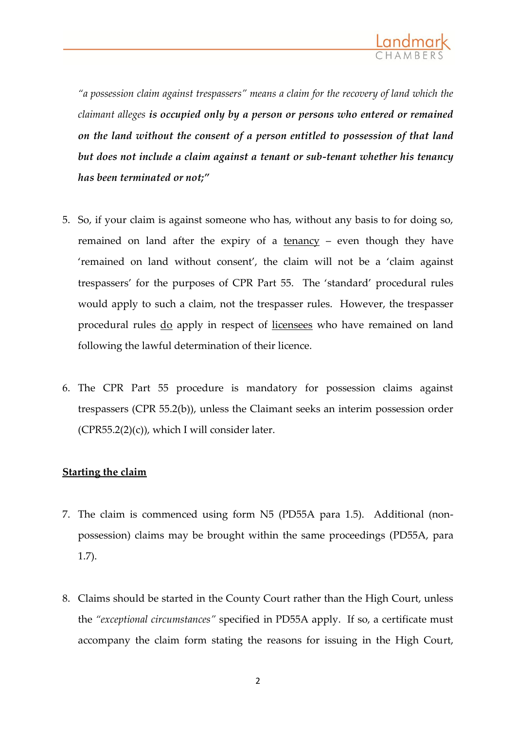

*"a possession claim against trespassers" means a claim for the recovery of land which the claimant alleges is occupied only by a person or persons who entered or remained on the land without the consent of a person entitled to possession of that land but does not include a claim against a tenant or sub-tenant whether his tenancy has been terminated or not;"*

- 5. So, if your claim is against someone who has, without any basis to for doing so, remained on land after the expiry of a tenancy – even though they have 'remained on land without consent', the claim will not be a 'claim against trespassers' for the purposes of CPR Part 55. The 'standard' procedural rules would apply to such a claim, not the trespasser rules. However, the trespasser procedural rules do apply in respect of licensees who have remained on land following the lawful determination of their licence.
- 6. The CPR Part 55 procedure is mandatory for possession claims against trespassers (CPR 55.2(b)), unless the Claimant seeks an interim possession order  $(CPR55.2(2)(c))$ , which I will consider later.

## **Starting the claim**

- 7. The claim is commenced using form N5 (PD55A para 1.5). Additional (nonpossession) claims may be brought within the same proceedings (PD55A, para 1.7).
- 8. Claims should be started in the County Court rather than the High Court, unless the *"exceptional circumstances"* specified in PD55A apply. If so, a certificate must accompany the claim form stating the reasons for issuing in the High Court,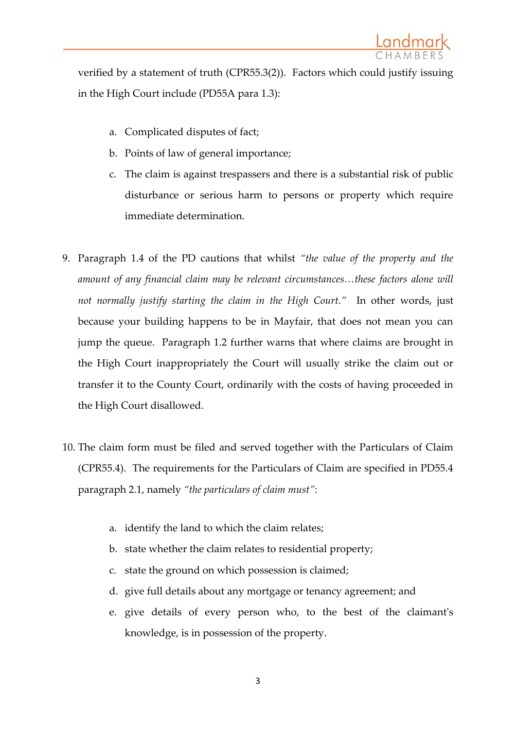verified by a statement of truth (CPR55.3(2)). Factors which could justify issuing in the High Court include (PD55A para 1.3):

- a. Complicated disputes of fact;
- b. Points of law of general importance;
- c. The claim is against trespassers and there is a substantial risk of public disturbance or serious harm to persons or property which require immediate determination.
- 9. Paragraph 1.4 of the PD cautions that whilst *"the value of the property and the*  amount of any financial claim may be relevant circumstances...these factors alone will *not normally justify starting the claim in the High Court."* In other words, just because your building happens to be in Mayfair, that does not mean you can jump the queue. Paragraph 1.2 further warns that where claims are brought in the High Court inappropriately the Court will usually strike the claim out or transfer it to the County Court, ordinarily with the costs of having proceeded in the High Court disallowed.
- 10. The claim form must be filed and served together with the Particulars of Claim (CPR55.4). The requirements for the Particulars of Claim are specified in PD55.4 paragraph 2.1, namely *"the particulars of claim must"*:
	- a. identify the land to which the claim relates;
	- b. state whether the claim relates to residential property;
	- c. state the ground on which possession is claimed;
	- d. give full details about any mortgage or tenancy agreement; and
	- e. give details of every person who, to the best of the claimant's knowledge, is in possession of the property.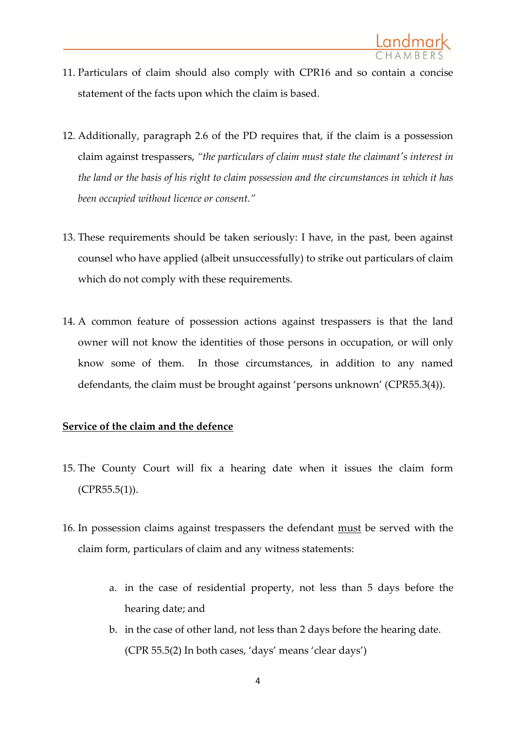- 11. Particulars of claim should also comply with CPR16 and so contain a concise statement of the facts upon which the claim is based.
- 12. Additionally, paragraph 2.6 of the PD requires that, if the claim is a possession claim against trespassers, *"the particulars of claim must state the claimant's interest in the land or the basis of his right to claim possession and the circumstances in which it has been occupied without licence or consent."*
- 13. These requirements should be taken seriously: I have, in the past, been against counsel who have applied (albeit unsuccessfully) to strike out particulars of claim which do not comply with these requirements.
- 14. A common feature of possession actions against trespassers is that the land owner will not know the identities of those persons in occupation, or will only know some of them. In those circumstances, in addition to any named defendants, the claim must be brought against 'persons unknown' (CPR55.3(4)).

## **Service of the claim and the defence**

- 15. The County Court will fix a hearing date when it issues the claim form (CPR55.5(1)).
- 16. In possession claims against trespassers the defendant must be served with the claim form, particulars of claim and any witness statements:
	- a. in the case of residential property, not less than 5 days before the hearing date; and
	- b. in the case of other land, not less than 2 days before the hearing date. (CPR 55.5(2) In both cases, 'days' means 'clear days')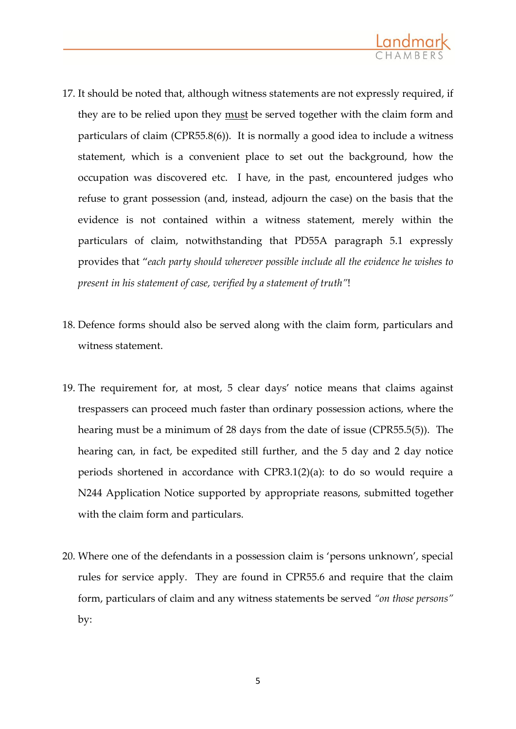

- 17. It should be noted that, although witness statements are not expressly required, if they are to be relied upon they must be served together with the claim form and particulars of claim (CPR55.8(6)). It is normally a good idea to include a witness statement, which is a convenient place to set out the background, how the occupation was discovered etc. I have, in the past, encountered judges who refuse to grant possession (and, instead, adjourn the case) on the basis that the evidence is not contained within a witness statement, merely within the particulars of claim, notwithstanding that PD55A paragraph 5.1 expressly provides that "*each party should wherever possible include all the evidence he wishes to present in his statement of case, verified by a statement of truth"*!
- 18. Defence forms should also be served along with the claim form, particulars and witness statement.
- 19. The requirement for, at most, 5 clear days' notice means that claims against trespassers can proceed much faster than ordinary possession actions, where the hearing must be a minimum of 28 days from the date of issue (CPR55.5(5)). The hearing can, in fact, be expedited still further, and the 5 day and 2 day notice periods shortened in accordance with CPR3.1(2)(a): to do so would require a N244 Application Notice supported by appropriate reasons, submitted together with the claim form and particulars.
- 20. Where one of the defendants in a possession claim is 'persons unknown', special rules for service apply. They are found in CPR55.6 and require that the claim form, particulars of claim and any witness statements be served *"on those persons"* by: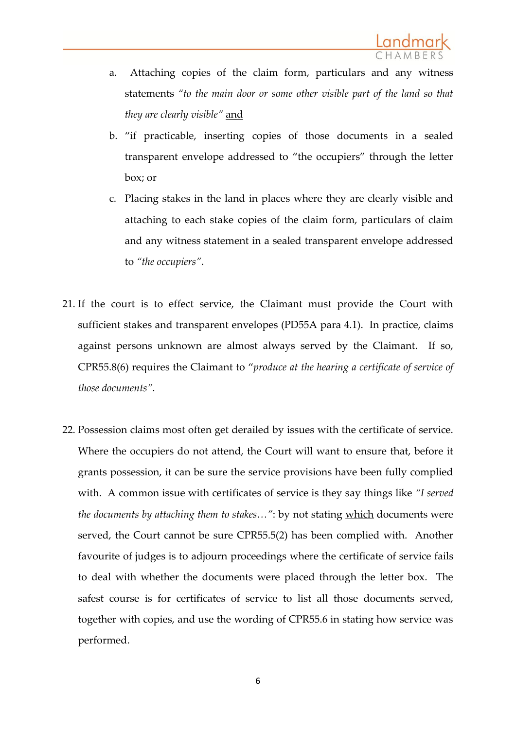- a. Attaching copies of the claim form, particulars and any witness statements *"to the main door or some other visible part of the land so that they are clearly visible"* and
- b. "if practicable, inserting copies of those documents in a sealed transparent envelope addressed to "the occupiers" through the letter box; or
- c. Placing stakes in the land in places where they are clearly visible and attaching to each stake copies of the claim form, particulars of claim and any witness statement in a sealed transparent envelope addressed to *"the occupiers"*.
- 21. If the court is to effect service, the Claimant must provide the Court with sufficient stakes and transparent envelopes (PD55A para 4.1). In practice, claims against persons unknown are almost always served by the Claimant. If so, CPR55.8(6) requires the Claimant to "*produce at the hearing a certificate of service of those documents"*.
- 22. Possession claims most often get derailed by issues with the certificate of service. Where the occupiers do not attend, the Court will want to ensure that, before it grants possession, it can be sure the service provisions have been fully complied with. A common issue with certificates of service is they say things like *"I served the documents by attaching them to stakes…"*: by not stating which documents were served, the Court cannot be sure CPR55.5(2) has been complied with. Another favourite of judges is to adjourn proceedings where the certificate of service fails to deal with whether the documents were placed through the letter box. The safest course is for certificates of service to list all those documents served, together with copies, and use the wording of CPR55.6 in stating how service was performed.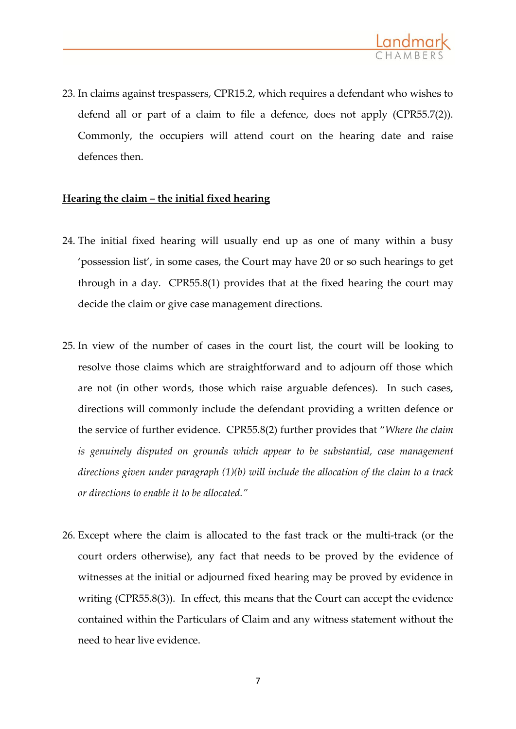

23. In claims against trespassers, CPR15.2, which requires a defendant who wishes to defend all or part of a claim to file a defence, does not apply (CPR55.7(2)). Commonly, the occupiers will attend court on the hearing date and raise defences then.

#### **Hearing the claim – the initial fixed hearing**

- 24. The initial fixed hearing will usually end up as one of many within a busy 'possession list', in some cases, the Court may have 20 or so such hearings to get through in a day. CPR55.8(1) provides that at the fixed hearing the court may decide the claim or give case management directions.
- 25. In view of the number of cases in the court list, the court will be looking to resolve those claims which are straightforward and to adjourn off those which are not (in other words, those which raise arguable defences). In such cases, directions will commonly include the defendant providing a written defence or the service of further evidence. CPR55.8(2) further provides that "*Where the claim is genuinely disputed on grounds which appear to be substantial, case management directions given under paragraph (1)(b) will include the allocation of the claim to a track or directions to enable it to be allocated."*
- 26. Except where the claim is allocated to the fast track or the multi-track (or the court orders otherwise), any fact that needs to be proved by the evidence of witnesses at the initial or adjourned fixed hearing may be proved by evidence in writing (CPR55.8(3)). In effect, this means that the Court can accept the evidence contained within the Particulars of Claim and any witness statement without the need to hear live evidence.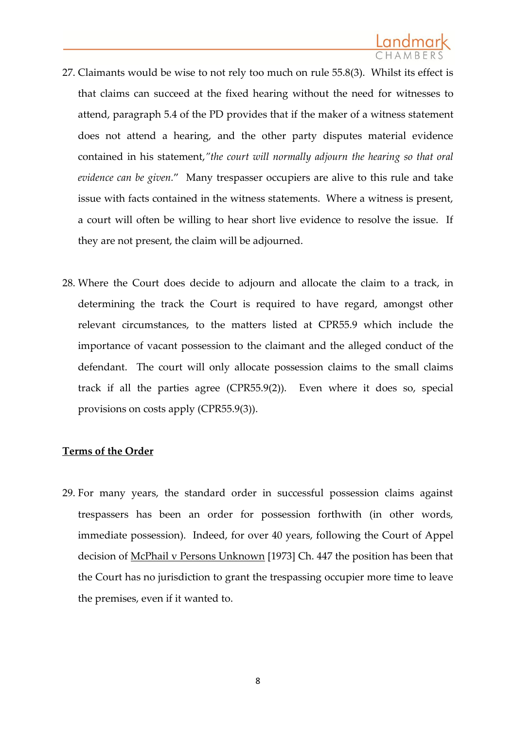

- 27. Claimants would be wise to not rely too much on rule 55.8(3). Whilst its effect is that claims can succeed at the fixed hearing without the need for witnesses to attend, paragraph 5.4 of the PD provides that if the maker of a witness statement does not attend a hearing, and the other party disputes material evidence contained in his statement,*"the court will normally adjourn the hearing so that oral evidence can be given.*" Many trespasser occupiers are alive to this rule and take issue with facts contained in the witness statements. Where a witness is present, a court will often be willing to hear short live evidence to resolve the issue. If they are not present, the claim will be adjourned.
- 28. Where the Court does decide to adjourn and allocate the claim to a track, in determining the track the Court is required to have regard, amongst other relevant circumstances, to the matters listed at CPR55.9 which include the importance of vacant possession to the claimant and the alleged conduct of the defendant. The court will only allocate possession claims to the small claims track if all the parties agree (CPR55.9(2)). Even where it does so, special provisions on costs apply (CPR55.9(3)).

## **Terms of the Order**

29. For many years, the standard order in successful possession claims against trespassers has been an order for possession forthwith (in other words, immediate possession). Indeed, for over 40 years, following the Court of Appel decision of McPhail v Persons Unknown [1973] Ch. 447 the position has been that the Court has no jurisdiction to grant the trespassing occupier more time to leave the premises, even if it wanted to.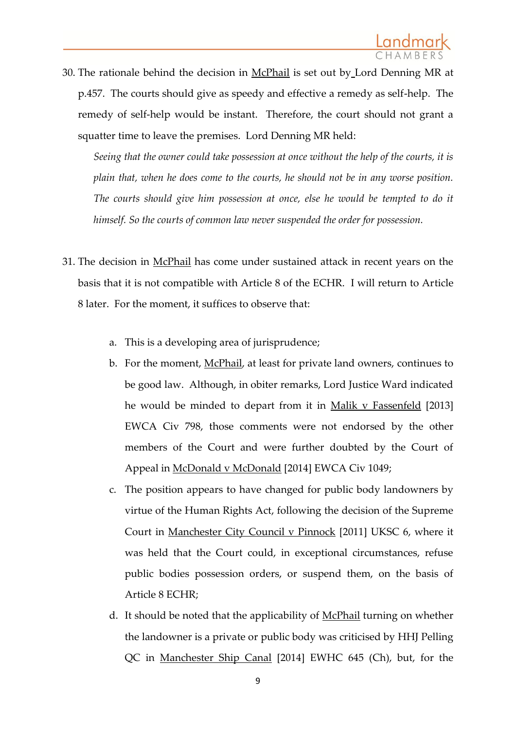30. The rationale behind the decision in McPhail is set out by Lord Denning MR at p.457. The courts should give as speedy and effective a remedy as self-help. The remedy of self-help would be instant. Therefore, the court should not grant a squatter time to leave the premises. Lord Denning MR held:

*Seeing that the owner could take possession at once without the help of the courts, it is plain that, when he does come to the courts, he should not be in any worse position. The courts should give him possession at once, else he would be tempted to do it himself. So the courts of common law never suspended the order for possession.*

- 31. The decision in McPhail has come under sustained attack in recent years on the basis that it is not compatible with Article 8 of the ECHR. I will return to Article 8 later. For the moment, it suffices to observe that:
	- a. This is a developing area of jurisprudence;
	- b. For the moment, McPhail, at least for private land owners, continues to be good law. Although, in obiter remarks, Lord Justice Ward indicated he would be minded to depart from it in Malik v Fassenfeld [2013] EWCA Civ 798, those comments were not endorsed by the other members of the Court and were further doubted by the Court of Appeal in McDonald v McDonald [2014] EWCA Civ 1049;
	- c. The position appears to have changed for public body landowners by virtue of the Human Rights Act, following the decision of the Supreme Court in Manchester City Council v Pinnock [2011] UKSC 6, where it was held that the Court could, in exceptional circumstances, refuse public bodies possession orders, or suspend them, on the basis of Article 8 ECHR;
	- d. It should be noted that the applicability of McPhail turning on whether the landowner is a private or public body was criticised by HHJ Pelling QC in Manchester Ship Canal [2014] EWHC 645 (Ch), but, for the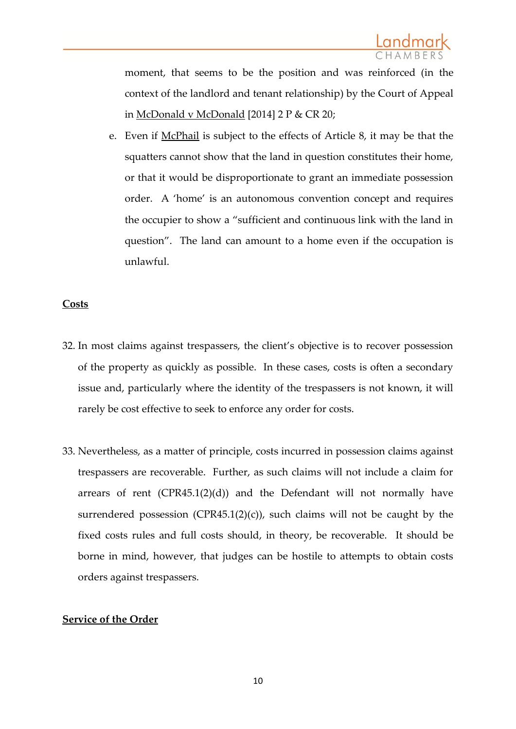moment, that seems to be the position and was reinforced (in the context of the landlord and tenant relationship) by the Court of Appeal in McDonald v McDonald [2014] 2 P & CR 20;

e. Even if McPhail is subject to the effects of Article 8, it may be that the squatters cannot show that the land in question constitutes their home, or that it would be disproportionate to grant an immediate possession order. A 'home' is an autonomous convention concept and requires the occupier to show a "sufficient and continuous link with the land in question". The land can amount to a home even if the occupation is unlawful.

## **Costs**

- 32. In most claims against trespassers, the client's objective is to recover possession of the property as quickly as possible. In these cases, costs is often a secondary issue and, particularly where the identity of the trespassers is not known, it will rarely be cost effective to seek to enforce any order for costs.
- 33. Nevertheless, as a matter of principle, costs incurred in possession claims against trespassers are recoverable. Further, as such claims will not include a claim for arrears of rent  $(CPR45.1(2)(d))$  and the Defendant will not normally have surrendered possession (CPR45.1(2)(c)), such claims will not be caught by the fixed costs rules and full costs should, in theory, be recoverable. It should be borne in mind, however, that judges can be hostile to attempts to obtain costs orders against trespassers.

## **Service of the Order**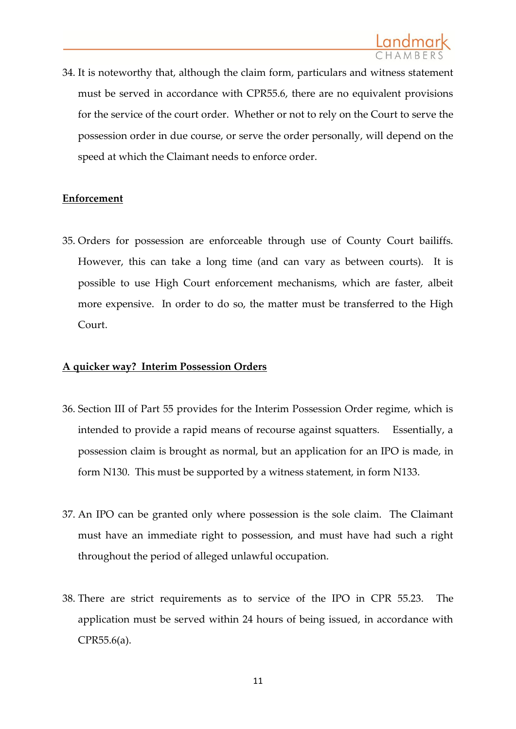34. It is noteworthy that, although the claim form, particulars and witness statement must be served in accordance with CPR55.6, there are no equivalent provisions for the service of the court order. Whether or not to rely on the Court to serve the possession order in due course, or serve the order personally, will depend on the speed at which the Claimant needs to enforce order.

## **Enforcement**

35. Orders for possession are enforceable through use of County Court bailiffs. However, this can take a long time (and can vary as between courts). It is possible to use High Court enforcement mechanisms, which are faster, albeit more expensive. In order to do so, the matter must be transferred to the High Court.

## **A quicker way? Interim Possession Orders**

- 36. Section III of Part 55 provides for the Interim Possession Order regime, which is intended to provide a rapid means of recourse against squatters. Essentially, a possession claim is brought as normal, but an application for an IPO is made, in form N130. This must be supported by a witness statement, in form N133.
- 37. An IPO can be granted only where possession is the sole claim. The Claimant must have an immediate right to possession, and must have had such a right throughout the period of alleged unlawful occupation.
- 38. There are strict requirements as to service of the IPO in CPR 55.23. The application must be served within 24 hours of being issued, in accordance with CPR55.6(a).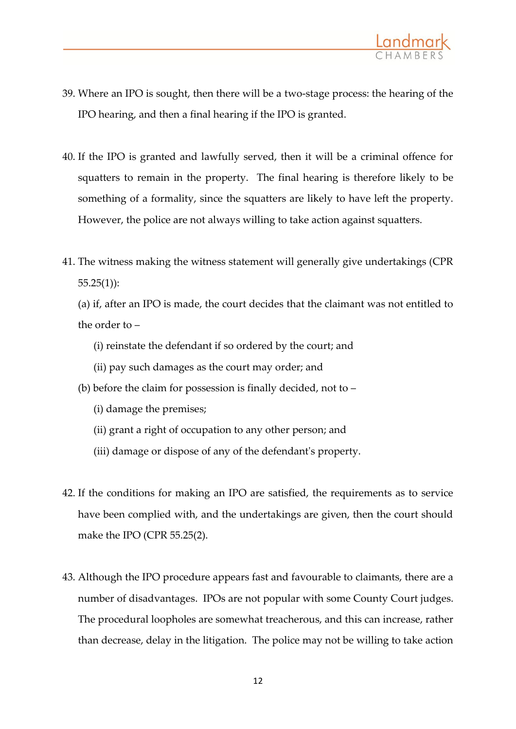

- 39. Where an IPO is sought, then there will be a two-stage process: the hearing of the IPO hearing, and then a final hearing if the IPO is granted.
- 40. If the IPO is granted and lawfully served, then it will be a criminal offence for squatters to remain in the property. The final hearing is therefore likely to be something of a formality, since the squatters are likely to have left the property. However, the police are not always willing to take action against squatters.
- 41. The witness making the witness statement will generally give undertakings (CPR 55.25(1)):
	- (a) if, after an IPO is made, the court decides that the claimant was not entitled to the order to –
		- (i) reinstate the defendant if so ordered by the court; and
		- (ii) pay such damages as the court may order; and
	- (b) before the claim for possession is finally decided, not to
		- (i) damage the premises;
		- (ii) grant a right of occupation to any other person; and
		- (iii) damage or dispose of any of the defendant's property.
- 42. If the conditions for making an IPO are satisfied, the requirements as to service have been complied with, and the undertakings are given, then the court should make the IPO (CPR 55.25(2).
- 43. Although the IPO procedure appears fast and favourable to claimants, there are a number of disadvantages. IPOs are not popular with some County Court judges. The procedural loopholes are somewhat treacherous, and this can increase, rather than decrease, delay in the litigation. The police may not be willing to take action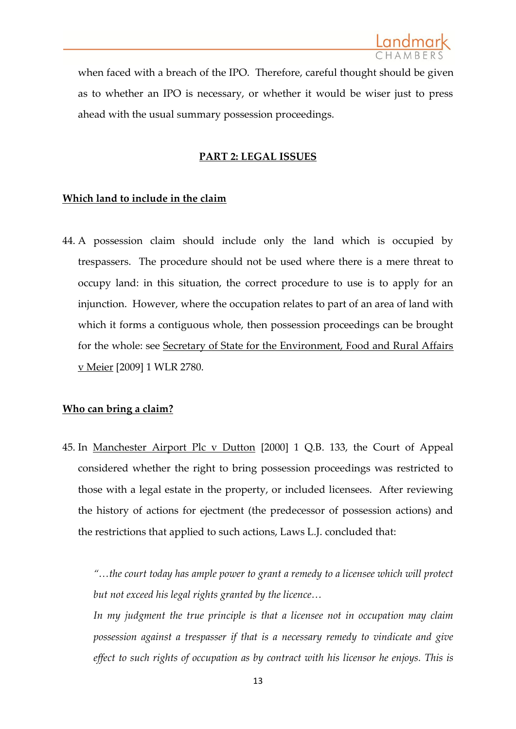when faced with a breach of the IPO. Therefore, careful thought should be given as to whether an IPO is necessary, or whether it would be wiser just to press ahead with the usual summary possession proceedings.

#### **PART 2: LEGAL ISSUES**

#### **Which land to include in the claim**

44. A possession claim should include only the land which is occupied by trespassers. The procedure should not be used where there is a mere threat to occupy land: in this situation, the correct procedure to use is to apply for an injunction. However, where the occupation relates to part of an area of land with which it forms a contiguous whole, then possession proceedings can be brought for the whole: see Secretary of State for the Environment, Food and Rural Affairs v Meier [2009] 1 WLR 2780.

#### **Who can bring a claim?**

45. In Manchester Airport Plc v Dutton [2000] 1 Q.B. 133, the Court of Appeal considered whether the right to bring possession proceedings was restricted to those with a legal estate in the property, or included licensees. After reviewing the history of actions for ejectment (the predecessor of possession actions) and the restrictions that applied to such actions, Laws L.J. concluded that:

*"…the court today has ample power to grant a remedy to a licensee which will protect but not exceed his legal rights granted by the licence…*

*In my judgment the true principle is that a licensee not in occupation may claim possession against a trespasser if that is a necessary remedy to vindicate and give effect to such rights of occupation as by contract with his licensor he enjoys. This is*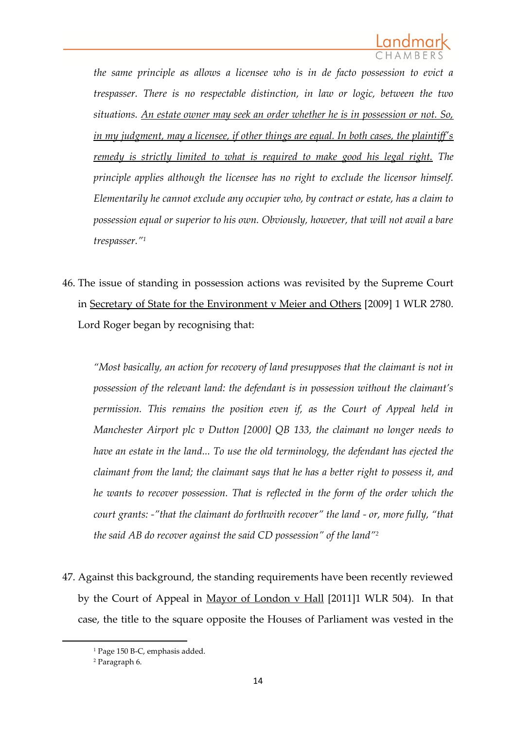

*the same principle as allows a licensee who is in de facto possession to evict a trespasser. There is no respectable distinction, in law or logic, between the two situations. An estate owner may seek an order whether he is in possession or not. So, in my judgment, may a licensee, if other things are equal. In both cases, the plaintiff's remedy is strictly limited to what is required to make good his legal right. The principle applies although the licensee has no right to exclude the licensor himself. Elementarily he cannot exclude any occupier who, by contract or estate, has a claim to possession equal or superior to his own. Obviously, however, that will not avail a bare trespasser."<sup>1</sup>*

46. The issue of standing in possession actions was revisited by the Supreme Court in Secretary of State for the Environment v Meier and Others [2009] 1 WLR 2780. Lord Roger began by recognising that:

*"Most basically, an action for recovery of land presupposes that the claimant is not in possession of the relevant land: the defendant is in possession without the claimant's permission. This remains the position even if, as the Court of Appeal held in Manchester Airport plc v Dutton [2000] QB 133, the claimant no longer needs to have an estate in the land... To use the old terminology, the defendant has ejected the claimant from the land; the claimant says that he has a better right to possess it, and he wants to recover possession. That is reflected in the form of the order which the court grants: -"that the claimant do forthwith recover" the land - or, more fully, "that the said AB do recover against the said CD possession" of the land"<sup>2</sup>*

47. Against this background, the standing requirements have been recently reviewed by the Court of Appeal in Mayor of London v Hall [2011]1 WLR 504). In that case, the title to the square opposite the Houses of Parliament was vested in the

**.** 

<sup>1</sup> Page 150 B-C, emphasis added.

<sup>2</sup> Paragraph 6.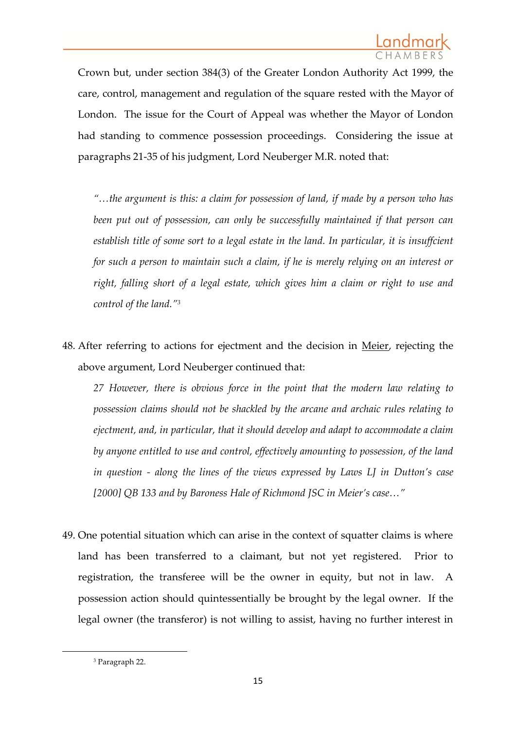Crown but, under section 384(3) of the Greater London Authority Act 1999, the care, control, management and regulation of the square rested with the Mayor of London. The issue for the Court of Appeal was whether the Mayor of London had standing to commence possession proceedings. Considering the issue at paragraphs 21-35 of his judgment, Lord Neuberger M.R. noted that:

*"…the argument is this: a claim for possession of land, if made by a person who has been put out of possession, can only be successfully maintained if that person can establish title of some sort to a legal estate in the land. In particular, it is insuffcient for such a person to maintain such a claim, if he is merely relying on an interest or right, falling short of a legal estate, which gives him a claim or right to use and control of the land."<sup>3</sup>*

48. After referring to actions for ejectment and the decision in Meier, rejecting the above argument, Lord Neuberger continued that:

*27 However, there is obvious force in the point that the modern law relating to possession claims should not be shackled by the arcane and archaic rules relating to ejectment, and, in particular, that it should develop and adapt to accommodate a claim by anyone entitled to use and control, effectively amounting to possession, of the land in question - along the lines of the views expressed by Laws LJ in Dutton's case [2000] QB 133 and by Baroness Hale of Richmond JSC in Meier's case…"*

49. One potential situation which can arise in the context of squatter claims is where land has been transferred to a claimant, but not yet registered. Prior to registration, the transferee will be the owner in equity, but not in law. A possession action should quintessentially be brought by the legal owner. If the legal owner (the transferor) is not willing to assist, having no further interest in

**.** 

<sup>3</sup> Paragraph 22.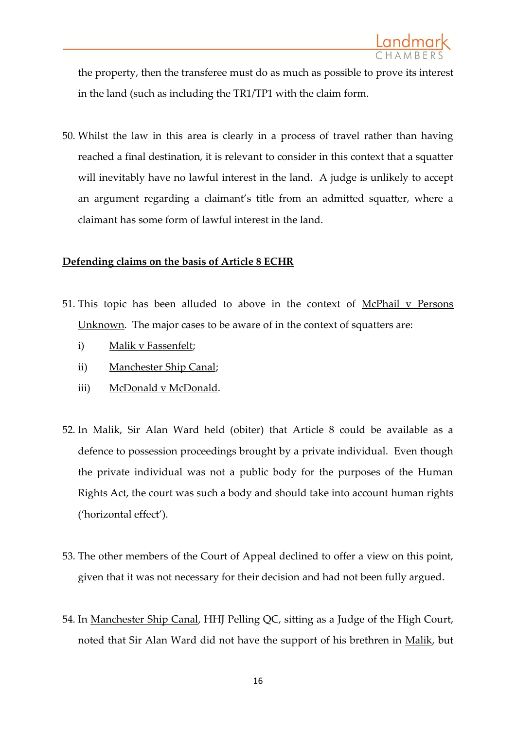the property, then the transferee must do as much as possible to prove its interest in the land (such as including the TR1/TP1 with the claim form.

50. Whilst the law in this area is clearly in a process of travel rather than having reached a final destination, it is relevant to consider in this context that a squatter will inevitably have no lawful interest in the land. A judge is unlikely to accept an argument regarding a claimant's title from an admitted squatter, where a claimant has some form of lawful interest in the land.

## **Defending claims on the basis of Article 8 ECHR**

- 51. This topic has been alluded to above in the context of McPhail v Persons Unknown. The major cases to be aware of in the context of squatters are:
	- i) Malik v Fassenfelt;
	- ii) Manchester Ship Canal;
	- iii) McDonald v McDonald.
- 52. In Malik, Sir Alan Ward held (obiter) that Article 8 could be available as a defence to possession proceedings brought by a private individual. Even though the private individual was not a public body for the purposes of the Human Rights Act, the court was such a body and should take into account human rights ('horizontal effect').
- 53. The other members of the Court of Appeal declined to offer a view on this point, given that it was not necessary for their decision and had not been fully argued.
- 54. In Manchester Ship Canal, HHJ Pelling QC, sitting as a Judge of the High Court, noted that Sir Alan Ward did not have the support of his brethren in Malik, but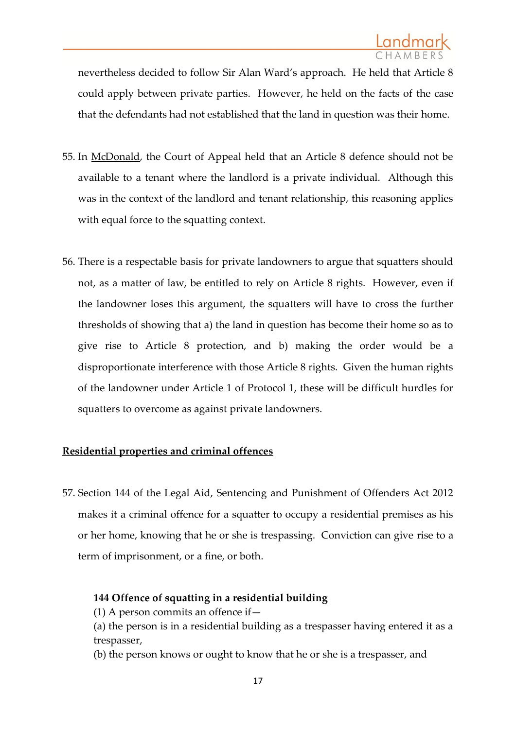nevertheless decided to follow Sir Alan Ward's approach. He held that Article 8 could apply between private parties. However, he held on the facts of the case that the defendants had not established that the land in question was their home.

- 55. In McDonald, the Court of Appeal held that an Article 8 defence should not be available to a tenant where the landlord is a private individual. Although this was in the context of the landlord and tenant relationship, this reasoning applies with equal force to the squatting context.
- 56. There is a respectable basis for private landowners to argue that squatters should not, as a matter of law, be entitled to rely on Article 8 rights. However, even if the landowner loses this argument, the squatters will have to cross the further thresholds of showing that a) the land in question has become their home so as to give rise to Article 8 protection, and b) making the order would be a disproportionate interference with those Article 8 rights. Given the human rights of the landowner under Article 1 of Protocol 1, these will be difficult hurdles for squatters to overcome as against private landowners.

# **Residential properties and criminal offences**

57. Section 144 of the Legal Aid, Sentencing and Punishment of Offenders Act 2012 makes it a criminal offence for a squatter to occupy a residential premises as his or her home, knowing that he or she is trespassing. Conviction can give rise to a term of imprisonment, or a fine, or both.

# **144 Offence of squatting in a residential building**

(1) A person commits an offence if  $-$ 

(a) the person is in a residential building as a trespasser having entered it as a trespasser,

(b) the person knows or ought to know that he or she is a trespasser, and